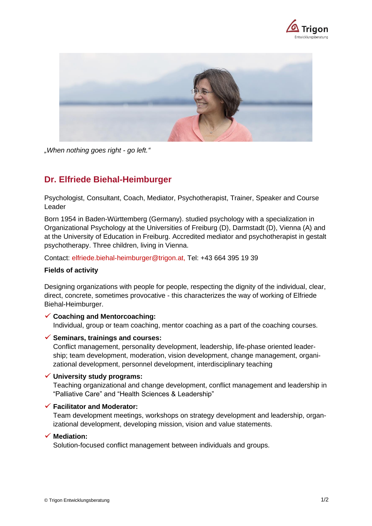



*"When nothing goes right - go left."*

# **Dr. Elfriede Biehal-Heimburger**

Psychologist, Consultant, Coach, Mediator, Psychotherapist, Trainer, Speaker and Course Leader

Born 1954 in Baden-Württemberg (Germany). studied psychology with a specialization in Organizational Psychology at the Universities of Freiburg (D), Darmstadt (D), Vienna (A) and at the University of Education in Freiburg. Accredited mediator and psychotherapist in gestalt psychotherapy. Three children, living in Vienna.

Contact: [elfriede.biehal-heimburger@trigon.at,](file://///trigsrv02/Daten/Beraterprofile/elfriede.biehal-heimburger@trigon.at) Tel: +43 664 395 19 39

## **Fields of activity**

Designing organizations with people for people, respecting the dignity of the individual, clear, direct, concrete, sometimes provocative - this characterizes the way of working of Elfriede Biehal-Heimburger.

✓ **Coaching and Mentorcoaching:** Individual, group or team coaching, mentor coaching as a part of the coaching courses.

## ✓ **Seminars, trainings and courses:**

Conflict management, personality development, leadership, life-phase oriented leadership; team development, moderation, vision development, change management, organizational development, personnel development, interdisciplinary teaching

#### ✓ **University study programs:**

Teaching organizational and change development, conflict management and leadership in "Palliative Care" and "Health Sciences & Leadership"

## ✓ **Facilitator and Moderator:**

Team development meetings, workshops on strategy development and leadership, organizational development, developing mission, vision and value statements.

## ✓ **Mediation:**

Solution-focused conflict management between individuals and groups.